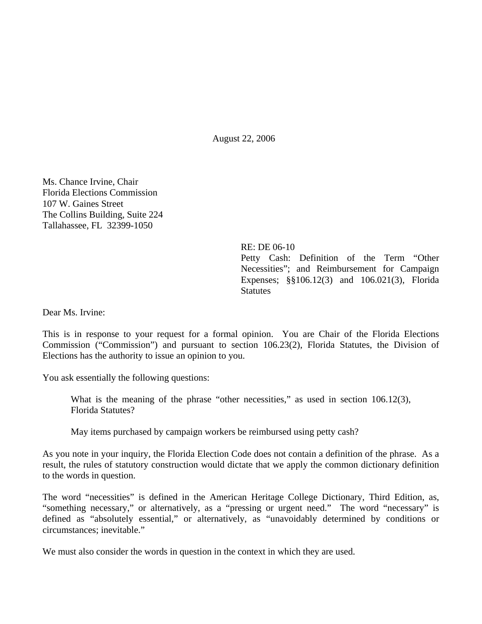August 22, 2006

Ms. Chance Irvine, Chair Florida Elections Commission 107 W. Gaines Street The Collins Building, Suite 224 Tallahassee, FL 32399-1050

> RE: DE 06-10 Petty Cash: Definition of the Term "Other Necessities"; and Reimbursement for Campaign Expenses; §§106.12(3) and 106.021(3), Florida **Statutes**

Dear Ms. Irvine:

This is in response to your request for a formal opinion. You are Chair of the Florida Elections Commission ("Commission") and pursuant to section 106.23(2), Florida Statutes, the Division of Elections has the authority to issue an opinion to you.

You ask essentially the following questions:

What is the meaning of the phrase "other necessities," as used in section 106.12(3), Florida Statutes?

May items purchased by campaign workers be reimbursed using petty cash?

As you note in your inquiry, the Florida Election Code does not contain a definition of the phrase. As a result, the rules of statutory construction would dictate that we apply the common dictionary definition to the words in question.

The word "necessities" is defined in the American Heritage College Dictionary, Third Edition, as, "something necessary," or alternatively, as a "pressing or urgent need." The word "necessary" is defined as "absolutely essential," or alternatively, as "unavoidably determined by conditions or circumstances; inevitable."

We must also consider the words in question in the context in which they are used.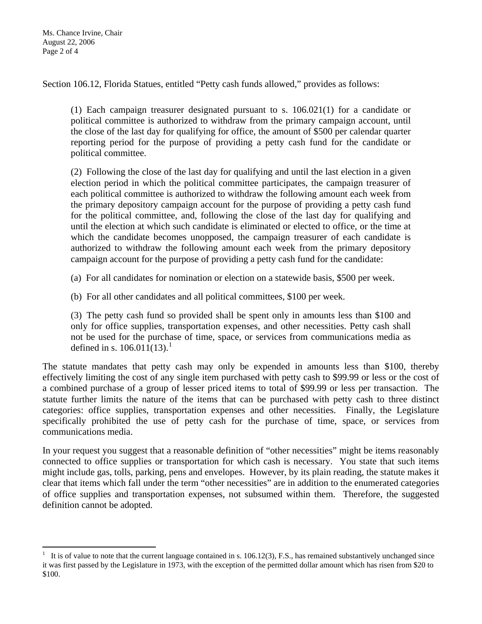$\overline{a}$ 

Section 106.12, Florida Statues, entitled "Petty cash funds allowed," provides as follows:

(1) Each campaign treasurer designated pursuant to s. [106.021](http://www.leg.state.fl.us/Statutes/index.cfm?App_mode=Display_Statute&Search_String=&URL=Ch0106/Sec021.HTM)(1) for a candidate or political committee is authorized to withdraw from the primary campaign account, until the close of the last day for qualifying for office, the amount of \$500 per calendar quarter reporting period for the purpose of providing a petty cash fund for the candidate or political committee.

(2) Following the close of the last day for qualifying and until the last election in a given election period in which the political committee participates, the campaign treasurer of each political committee is authorized to withdraw the following amount each week from the primary depository campaign account for the purpose of providing a petty cash fund for the political committee, and, following the close of the last day for qualifying and until the election at which such candidate is eliminated or elected to office, or the time at which the candidate becomes unopposed, the campaign treasurer of each candidate is authorized to withdraw the following amount each week from the primary depository campaign account for the purpose of providing a petty cash fund for the candidate:

(a) For all candidates for nomination or election on a statewide basis, \$500 per week.

(b) For all other candidates and all political committees, \$100 per week.

(3) The petty cash fund so provided shall be spent only in amounts less than \$100 and only for office supplies, transportation expenses, and other necessities. Petty cash shall not be used for the purchase of time, space, or services from communications media as defined in s.  $106.011(13)$  $106.011(13)$  $106.011(13)$ .

The statute mandates that petty cash may only be expended in amounts less than \$100, thereby effectively limiting the cost of any single item purchased with petty cash to \$99.99 or less or the cost of a combined purchase of a group of lesser priced items to total of \$99.99 or less per transaction. The statute further limits the nature of the items that can be purchased with petty cash to three distinct categories: office supplies, transportation expenses and other necessities. Finally, the Legislature specifically prohibited the use of petty cash for the purchase of time, space, or services from communications media.

In your request you suggest that a reasonable definition of "other necessities" might be items reasonably connected to office supplies or transportation for which cash is necessary. You state that such items might include gas, tolls, parking, pens and envelopes. However, by its plain reading, the statute makes it clear that items which fall under the term "other necessities" are in addition to the enumerated categories of office supplies and transportation expenses, not subsumed within them. Therefore, the suggested definition cannot be adopted.

<span id="page-1-0"></span><sup>1</sup> It is of value to note that the current language contained in s. 106.12(3), F.S., has remained substantively unchanged since it was first passed by the Legislature in 1973, with the exception of the permitted dollar amount which has risen from \$20 to \$100.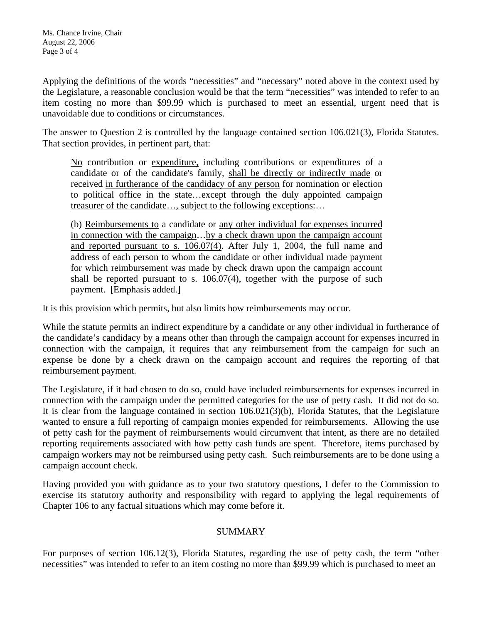Applying the definitions of the words "necessities" and "necessary" noted above in the context used by the Legislature, a reasonable conclusion would be that the term "necessities" was intended to refer to an item costing no more than \$99.99 which is purchased to meet an essential, urgent need that is unavoidable due to conditions or circumstances.

The answer to Question 2 is controlled by the language contained section 106.021(3), Florida Statutes. That section provides, in pertinent part, that:

No contribution or expenditure, including contributions or expenditures of a candidate or of the candidate's family, shall be directly or indirectly made or received in furtherance of the candidacy of any person for nomination or election to political office in the state…except through the duly appointed campaign treasurer of the candidate…, subject to the following exceptions:…

(b) Reimbursements to a candidate or any other individual for expenses incurred in connection with the campaign…by a check drawn upon the campaign account and reported pursuant to s. [106.07](http://www.leg.state.fl.us/Statutes/index.cfm?App_mode=Display_Statute&Search_String=&URL=Ch0106/Sec07.HTM)(4). After July 1, 2004, the full name and address of each person to whom the candidate or other individual made payment for which reimbursement was made by check drawn upon the campaign account shall be reported pursuant to s. [106.07\(](http://www.leg.state.fl.us/Statutes/index.cfm?App_mode=Display_Statute&Search_String=&URL=Ch0106/Sec07.HTM)4), together with the purpose of such payment. [Emphasis added.]

It is this provision which permits, but also limits how reimbursements may occur.

While the statute permits an indirect expenditure by a candidate or any other individual in furtherance of the candidate's candidacy by a means other than through the campaign account for expenses incurred in connection with the campaign, it requires that any reimbursement from the campaign for such an expense be done by a check drawn on the campaign account and requires the reporting of that reimbursement payment.

The Legislature, if it had chosen to do so, could have included reimbursements for expenses incurred in connection with the campaign under the permitted categories for the use of petty cash. It did not do so. It is clear from the language contained in section 106.021(3)(b), Florida Statutes, that the Legislature wanted to ensure a full reporting of campaign monies expended for reimbursements. Allowing the use of petty cash for the payment of reimbursements would circumvent that intent, as there are no detailed reporting requirements associated with how petty cash funds are spent. Therefore, items purchased by campaign workers may not be reimbursed using petty cash. Such reimbursements are to be done using a campaign account check.

Having provided you with guidance as to your two statutory questions, I defer to the Commission to exercise its statutory authority and responsibility with regard to applying the legal requirements of Chapter 106 to any factual situations which may come before it.

## SUMMARY

For purposes of section 106.12(3), Florida Statutes, regarding the use of petty cash, the term "other necessities" was intended to refer to an item costing no more than \$99.99 which is purchased to meet an